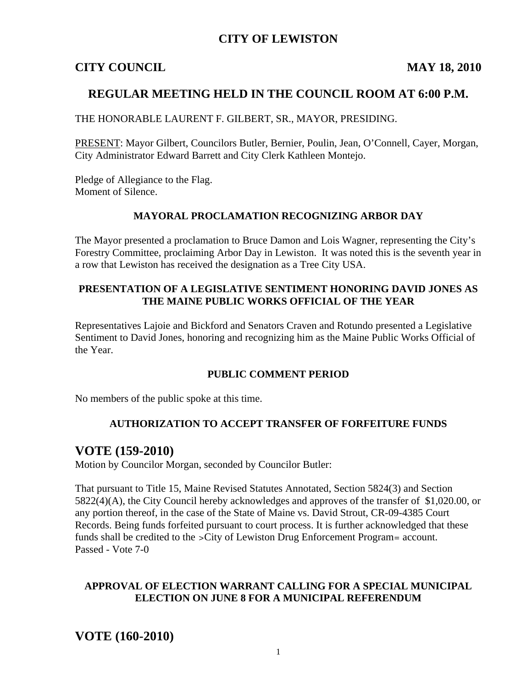## **CITY OF LEWISTON**

## **CITY COUNCIL MAY 18, 2010**

## **REGULAR MEETING HELD IN THE COUNCIL ROOM AT 6:00 P.M.**

THE HONORABLE LAURENT F. GILBERT, SR., MAYOR, PRESIDING.

PRESENT: Mayor Gilbert, Councilors Butler, Bernier, Poulin, Jean, O'Connell, Cayer, Morgan, City Administrator Edward Barrett and City Clerk Kathleen Montejo.

Pledge of Allegiance to the Flag. Moment of Silence.

#### **MAYORAL PROCLAMATION RECOGNIZING ARBOR DAY**

The Mayor presented a proclamation to Bruce Damon and Lois Wagner, representing the City's Forestry Committee, proclaiming Arbor Day in Lewiston. It was noted this is the seventh year in a row that Lewiston has received the designation as a Tree City USA.

#### **PRESENTATION OF A LEGISLATIVE SENTIMENT HONORING DAVID JONES AS THE MAINE PUBLIC WORKS OFFICIAL OF THE YEAR**

Representatives Lajoie and Bickford and Senators Craven and Rotundo presented a Legislative Sentiment to David Jones, honoring and recognizing him as the Maine Public Works Official of the Year.

#### **PUBLIC COMMENT PERIOD**

No members of the public spoke at this time.

#### **AUTHORIZATION TO ACCEPT TRANSFER OF FORFEITURE FUNDS**

## **VOTE (159-2010)**

Motion by Councilor Morgan, seconded by Councilor Butler:

That pursuant to Title 15, Maine Revised Statutes Annotated, Section 5824(3) and Section 5822(4)(A), the City Council hereby acknowledges and approves of the transfer of \$1,020.00, or any portion thereof, in the case of the State of Maine vs. David Strout, CR-09-4385 Court Records. Being funds forfeited pursuant to court process. It is further acknowledged that these funds shall be credited to the >City of Lewiston Drug Enforcement Program= account. Passed - Vote 7-0

#### **APPROVAL OF ELECTION WARRANT CALLING FOR A SPECIAL MUNICIPAL ELECTION ON JUNE 8 FOR A MUNICIPAL REFERENDUM**

**VOTE (160-2010)**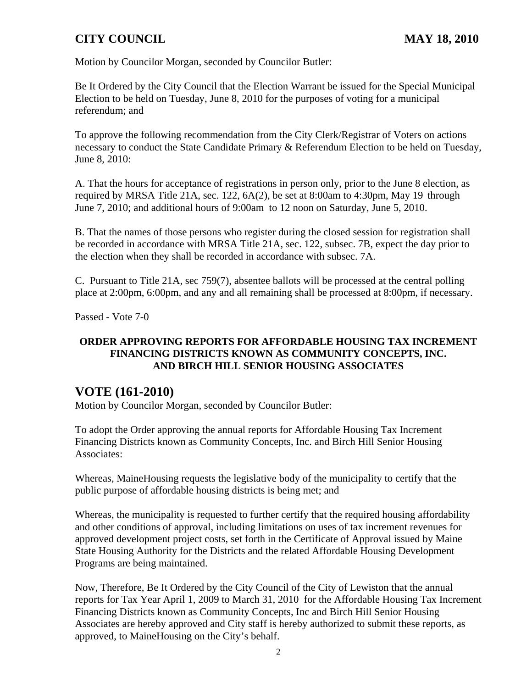Motion by Councilor Morgan, seconded by Councilor Butler:

Be It Ordered by the City Council that the Election Warrant be issued for the Special Municipal Election to be held on Tuesday, June 8, 2010 for the purposes of voting for a municipal referendum; and

To approve the following recommendation from the City Clerk/Registrar of Voters on actions necessary to conduct the State Candidate Primary & Referendum Election to be held on Tuesday, June 8, 2010:

A. That the hours for acceptance of registrations in person only, prior to the June 8 election, as required by MRSA Title 21A, sec. 122, 6A(2), be set at 8:00am to 4:30pm, May 19 through June 7, 2010; and additional hours of 9:00am to 12 noon on Saturday, June 5, 2010.

B. That the names of those persons who register during the closed session for registration shall be recorded in accordance with MRSA Title 21A, sec. 122, subsec. 7B, expect the day prior to the election when they shall be recorded in accordance with subsec. 7A.

C. Pursuant to Title 21A, sec 759(7), absentee ballots will be processed at the central polling place at 2:00pm, 6:00pm, and any and all remaining shall be processed at 8:00pm, if necessary.

Passed - Vote 7-0

## **ORDER APPROVING REPORTS FOR AFFORDABLE HOUSING TAX INCREMENT FINANCING DISTRICTS KNOWN AS COMMUNITY CONCEPTS, INC. AND BIRCH HILL SENIOR HOUSING ASSOCIATES**

## **VOTE (161-2010)**

Motion by Councilor Morgan, seconded by Councilor Butler:

To adopt the Order approving the annual reports for Affordable Housing Tax Increment Financing Districts known as Community Concepts, Inc. and Birch Hill Senior Housing Associates:

Whereas, MaineHousing requests the legislative body of the municipality to certify that the public purpose of affordable housing districts is being met; and

Whereas, the municipality is requested to further certify that the required housing affordability and other conditions of approval, including limitations on uses of tax increment revenues for approved development project costs, set forth in the Certificate of Approval issued by Maine State Housing Authority for the Districts and the related Affordable Housing Development Programs are being maintained.

Now, Therefore, Be It Ordered by the City Council of the City of Lewiston that the annual reports for Tax Year April 1, 2009 to March 31, 2010 for the Affordable Housing Tax Increment Financing Districts known as Community Concepts, Inc and Birch Hill Senior Housing Associates are hereby approved and City staff is hereby authorized to submit these reports, as approved, to MaineHousing on the City's behalf.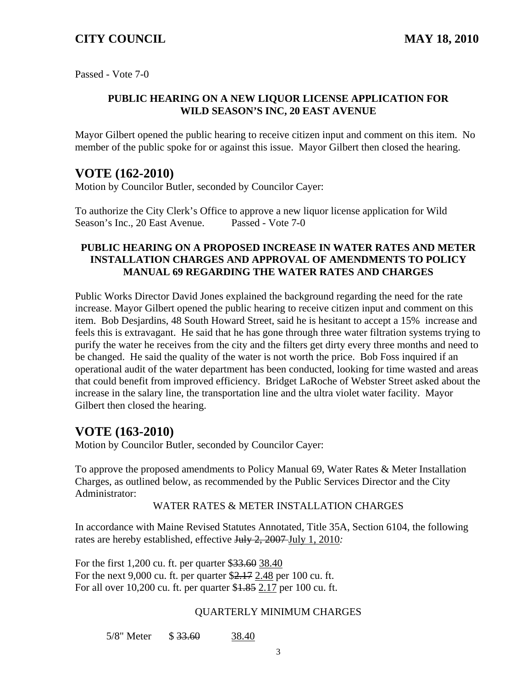Passed - Vote 7-0

#### **PUBLIC HEARING ON A NEW LIQUOR LICENSE APPLICATION FOR WILD SEASON'S INC, 20 EAST AVENUE**

Mayor Gilbert opened the public hearing to receive citizen input and comment on this item. No member of the public spoke for or against this issue. Mayor Gilbert then closed the hearing.

## **VOTE (162-2010)**

Motion by Councilor Butler, seconded by Councilor Cayer:

To authorize the City Clerk's Office to approve a new liquor license application for Wild Season's Inc., 20 East Avenue. Passed - Vote 7-0

#### **PUBLIC HEARING ON A PROPOSED INCREASE IN WATER RATES AND METER INSTALLATION CHARGES AND APPROVAL OF AMENDMENTS TO POLICY MANUAL 69 REGARDING THE WATER RATES AND CHARGES**

Public Works Director David Jones explained the background regarding the need for the rate increase. Mayor Gilbert opened the public hearing to receive citizen input and comment on this item. Bob Desjardins, 48 South Howard Street, said he is hesitant to accept a 15% increase and feels this is extravagant. He said that he has gone through three water filtration systems trying to purify the water he receives from the city and the filters get dirty every three months and need to be changed. He said the quality of the water is not worth the price. Bob Foss inquired if an operational audit of the water department has been conducted, looking for time wasted and areas that could benefit from improved efficiency. Bridget LaRoche of Webster Street asked about the increase in the salary line, the transportation line and the ultra violet water facility. Mayor Gilbert then closed the hearing.

## **VOTE (163-2010)**

Motion by Councilor Butler, seconded by Councilor Cayer:

To approve the proposed amendments to Policy Manual 69, Water Rates & Meter Installation Charges, as outlined below, as recommended by the Public Services Director and the City Administrator:

WATER RATES & METER INSTALLATION CHARGES

In accordance with Maine Revised Statutes Annotated, Title 35A, Section 6104, the following rates are hereby established, effective July 2, 2007 July 1, 2010*:* 

For the first 1,200 cu. ft. per quarter \$33.60 38.40 For the next 9,000 cu. ft. per quarter \$2.17 2.48 per 100 cu. ft. For all over 10,200 cu. ft. per quarter \$1.85 2.17 per 100 cu. ft.

#### QUARTERLY MINIMUM CHARGES

5/8" Meter \$ 33.60 38.40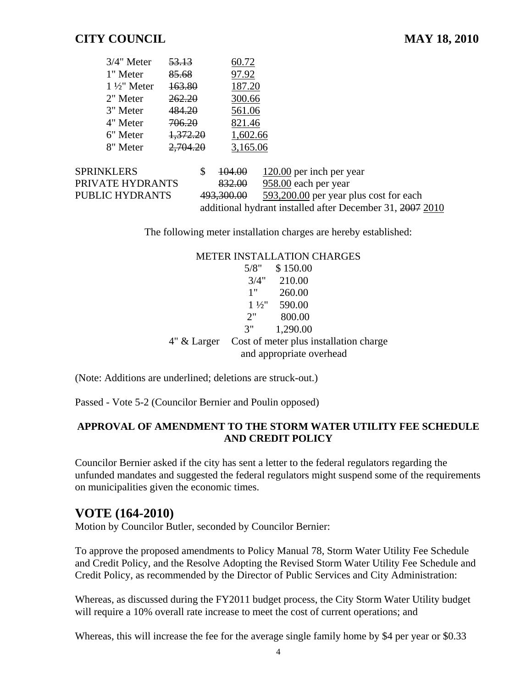| 3/4" Meter             | 53.13    | 60.72    |
|------------------------|----------|----------|
| 1" Meter               | 85.68    | 97.92    |
| $1\frac{1}{2}$ " Meter | 163.80   | 187.20   |
| 2" Meter               | 262.20   | 300.66   |
| 3" Meter               | 484.20   | 561.06   |
| 4" Meter               | 706.20   | 821.46   |
| 6" Meter               | 1,372.20 | 1,602.66 |
| 8" Meter               | 2,704.20 | 3,165.06 |

| <b>SPRINKLERS</b> | 104.00            | 120.00 per inch per year                                  |
|-------------------|-------------------|-----------------------------------------------------------|
| PRIVATE HYDRANTS  | <del>832.00</del> | 958.00 each per year                                      |
| PUBLIC HYDRANTS   | 493,300.00        | 593,200.00 per year plus cost for each                    |
|                   |                   | additional hydrant installed after December 31, 2007 2010 |

The following meter installation charges are hereby established:

| <b>METER INSTALLATION CHARGES</b> |
|-----------------------------------|
|                                   |

|               | 5/8" | \$150.00                 |                                        |
|---------------|------|--------------------------|----------------------------------------|
|               | 3/4" | 210.00                   |                                        |
|               | 1"   | 260.00                   |                                        |
|               |      | $1\frac{1}{2}$ 590.00    |                                        |
|               | 2"   | 800.00                   |                                        |
|               | 3"   | 1,290.00                 |                                        |
| $4"$ & Larger |      | and appropriate overhead | Cost of meter plus installation charge |

(Note: Additions are underlined; deletions are struck-out.)

Passed - Vote 5-2 (Councilor Bernier and Poulin opposed)

#### **APPROVAL OF AMENDMENT TO THE STORM WATER UTILITY FEE SCHEDULE AND CREDIT POLICY**

Councilor Bernier asked if the city has sent a letter to the federal regulators regarding the unfunded mandates and suggested the federal regulators might suspend some of the requirements on municipalities given the economic times.

## **VOTE (164-2010)**

Motion by Councilor Butler, seconded by Councilor Bernier:

To approve the proposed amendments to Policy Manual 78, Storm Water Utility Fee Schedule and Credit Policy, and the Resolve Adopting the Revised Storm Water Utility Fee Schedule and Credit Policy, as recommended by the Director of Public Services and City Administration:

Whereas, as discussed during the FY2011 budget process, the City Storm Water Utility budget will require a 10% overall rate increase to meet the cost of current operations; and

Whereas, this will increase the fee for the average single family home by \$4 per year or \$0.33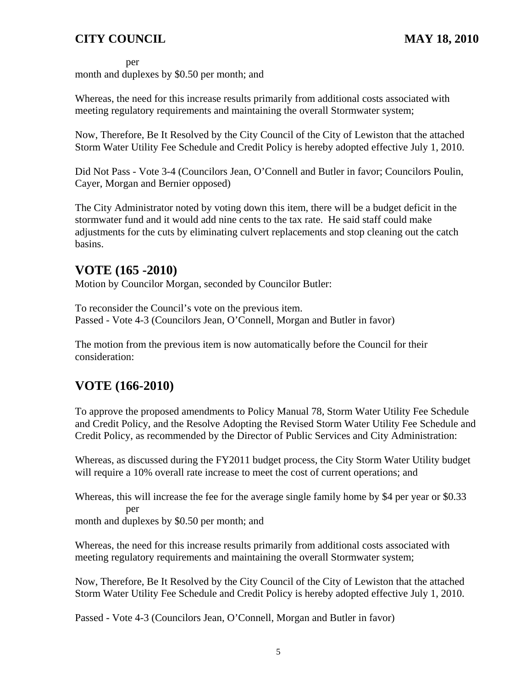per

month and duplexes by \$0.50 per month; and

Whereas, the need for this increase results primarily from additional costs associated with meeting regulatory requirements and maintaining the overall Stormwater system;

Now, Therefore, Be It Resolved by the City Council of the City of Lewiston that the attached Storm Water Utility Fee Schedule and Credit Policy is hereby adopted effective July 1, 2010.

Did Not Pass - Vote 3-4 (Councilors Jean, O'Connell and Butler in favor; Councilors Poulin, Cayer, Morgan and Bernier opposed)

The City Administrator noted by voting down this item, there will be a budget deficit in the stormwater fund and it would add nine cents to the tax rate. He said staff could make adjustments for the cuts by eliminating culvert replacements and stop cleaning out the catch basins.

# **VOTE (165 -2010)**

Motion by Councilor Morgan, seconded by Councilor Butler:

To reconsider the Council's vote on the previous item. Passed - Vote 4-3 (Councilors Jean, O'Connell, Morgan and Butler in favor)

The motion from the previous item is now automatically before the Council for their consideration:

# **VOTE (166-2010)**

To approve the proposed amendments to Policy Manual 78, Storm Water Utility Fee Schedule and Credit Policy, and the Resolve Adopting the Revised Storm Water Utility Fee Schedule and Credit Policy, as recommended by the Director of Public Services and City Administration:

Whereas, as discussed during the FY2011 budget process, the City Storm Water Utility budget will require a 10% overall rate increase to meet the cost of current operations; and

Whereas, this will increase the fee for the average single family home by \$4 per year or \$0.33 per

month and duplexes by \$0.50 per month; and

Whereas, the need for this increase results primarily from additional costs associated with meeting regulatory requirements and maintaining the overall Stormwater system;

Now, Therefore, Be It Resolved by the City Council of the City of Lewiston that the attached Storm Water Utility Fee Schedule and Credit Policy is hereby adopted effective July 1, 2010.

Passed - Vote 4-3 (Councilors Jean, O'Connell, Morgan and Butler in favor)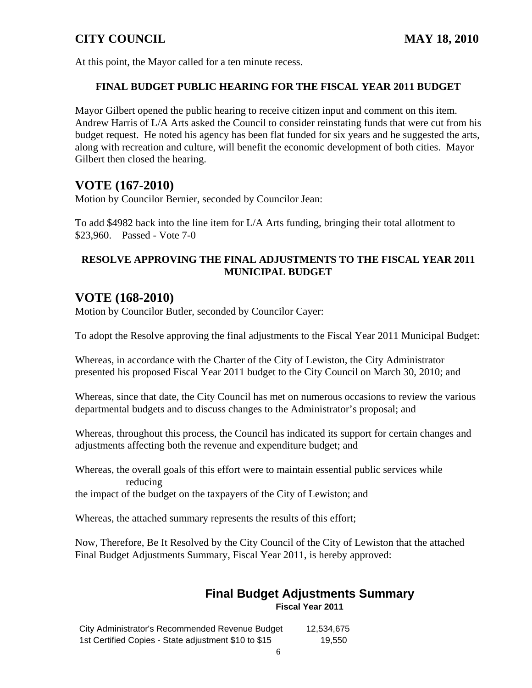At this point, the Mayor called for a ten minute recess.

### **FINAL BUDGET PUBLIC HEARING FOR THE FISCAL YEAR 2011 BUDGET**

Mayor Gilbert opened the public hearing to receive citizen input and comment on this item. Andrew Harris of L/A Arts asked the Council to consider reinstating funds that were cut from his budget request. He noted his agency has been flat funded for six years and he suggested the arts, along with recreation and culture, will benefit the economic development of both cities. Mayor Gilbert then closed the hearing.

## **VOTE (167-2010)**

Motion by Councilor Bernier, seconded by Councilor Jean:

To add \$4982 back into the line item for L/A Arts funding, bringing their total allotment to \$23,960. Passed - Vote 7-0

## **RESOLVE APPROVING THE FINAL ADJUSTMENTS TO THE FISCAL YEAR 2011 MUNICIPAL BUDGET**

## **VOTE (168-2010)**

Motion by Councilor Butler, seconded by Councilor Cayer:

To adopt the Resolve approving the final adjustments to the Fiscal Year 2011 Municipal Budget:

Whereas, in accordance with the Charter of the City of Lewiston, the City Administrator presented his proposed Fiscal Year 2011 budget to the City Council on March 30, 2010; and

Whereas, since that date, the City Council has met on numerous occasions to review the various departmental budgets and to discuss changes to the Administrator's proposal; and

Whereas, throughout this process, the Council has indicated its support for certain changes and adjustments affecting both the revenue and expenditure budget; and

Whereas, the overall goals of this effort were to maintain essential public services while reducing

the impact of the budget on the taxpayers of the City of Lewiston; and

Whereas, the attached summary represents the results of this effort;

Now, Therefore, Be It Resolved by the City Council of the City of Lewiston that the attached Final Budget Adjustments Summary, Fiscal Year 2011, is hereby approved:

#### **Final Budget Adjustments Summary Fiscal Year 2011**

City Administrator's Recommended Revenue Budget 12,534,675 1st Certified Copies - State adjustment \$10 to \$15 19,550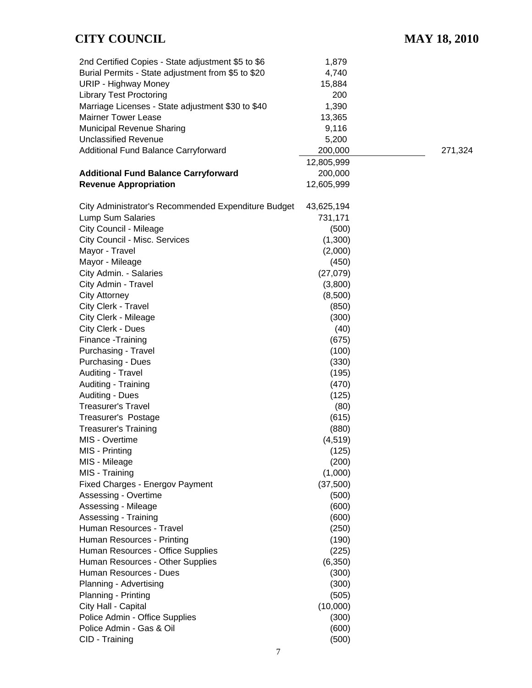| 2nd Certified Copies - State adjustment \$5 to \$6  | 1,879      |         |
|-----------------------------------------------------|------------|---------|
| Burial Permits - State adjustment from \$5 to \$20  | 4,740      |         |
| <b>URIP - Highway Money</b>                         | 15,884     |         |
| <b>Library Test Proctoring</b>                      | 200        |         |
| Marriage Licenses - State adjustment \$30 to \$40   | 1,390      |         |
| <b>Mairner Tower Lease</b>                          | 13,365     |         |
| Municipal Revenue Sharing                           | 9,116      |         |
| <b>Unclassified Revenue</b>                         |            |         |
|                                                     | 5,200      |         |
| Additional Fund Balance Carryforward                | 200,000    | 271,324 |
|                                                     | 12,805,999 |         |
| <b>Additional Fund Balance Carryforward</b>         | 200,000    |         |
| <b>Revenue Appropriation</b>                        | 12,605,999 |         |
| City Administrator's Recommended Expenditure Budget | 43,625,194 |         |
| Lump Sum Salaries                                   | 731,171    |         |
|                                                     |            |         |
| City Council - Mileage                              | (500)      |         |
| City Council - Misc. Services                       | (1,300)    |         |
| Mayor - Travel                                      | (2,000)    |         |
| Mayor - Mileage                                     | (450)      |         |
| City Admin. - Salaries                              | (27, 079)  |         |
| City Admin - Travel                                 | (3,800)    |         |
| <b>City Attorney</b>                                | (8,500)    |         |
| City Clerk - Travel                                 | (850)      |         |
| City Clerk - Mileage                                | (300)      |         |
| City Clerk - Dues                                   | (40)       |         |
| Finance - Training                                  | (675)      |         |
| Purchasing - Travel                                 | (100)      |         |
| <b>Purchasing - Dues</b>                            | (330)      |         |
| Auditing - Travel                                   | (195)      |         |
| Auditing - Training                                 | (470)      |         |
| <b>Auditing - Dues</b>                              | (125)      |         |
| <b>Treasurer's Travel</b>                           | (80)       |         |
| Treasurer's Postage                                 | (615)      |         |
| <b>Treasurer's Training</b>                         | (880)      |         |
| MIS - Overtime                                      | (4, 519)   |         |
| MIS - Printing                                      | (125)      |         |
| MIS - Mileage                                       | (200)      |         |
| MIS - Training                                      | (1,000)    |         |
| Fixed Charges - Energov Payment                     | (37,500)   |         |
| Assessing - Overtime                                | (500)      |         |
| Assessing - Mileage                                 | (600)      |         |
|                                                     | (600)      |         |
| Assessing - Training                                |            |         |
| Human Resources - Travel                            | (250)      |         |
| Human Resources - Printing                          | (190)      |         |
| Human Resources - Office Supplies                   | (225)      |         |
| Human Resources - Other Supplies                    | (6,350)    |         |
| Human Resources - Dues                              | (300)      |         |
| Planning - Advertising                              | (300)      |         |
| Planning - Printing                                 | (505)      |         |
| City Hall - Capital                                 | (10,000)   |         |
| Police Admin - Office Supplies                      | (300)      |         |
| Police Admin - Gas & Oil                            | (600)      |         |
| CID - Training                                      | (500)      |         |
|                                                     |            |         |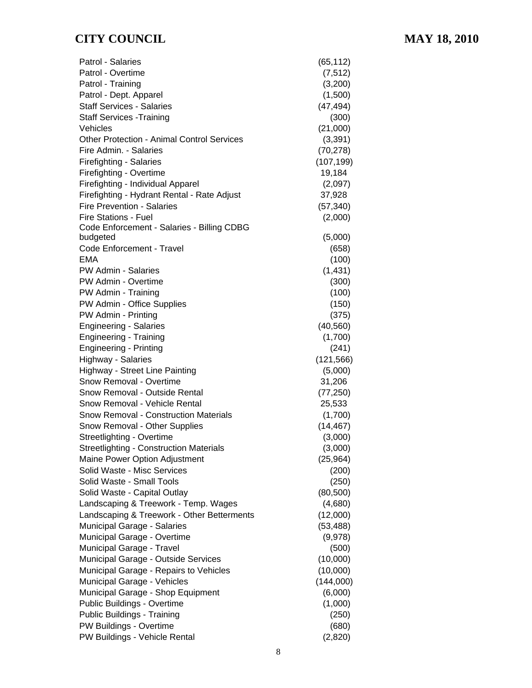| Patrol - Salaries                                 | (65, 112)  |
|---------------------------------------------------|------------|
| Patrol - Overtime                                 | (7, 512)   |
| Patrol - Training                                 | (3,200)    |
| Patrol - Dept. Apparel                            | (1,500)    |
| <b>Staff Services - Salaries</b>                  | (47, 494)  |
| <b>Staff Services - Training</b>                  | (300)      |
| Vehicles                                          | (21,000)   |
| <b>Other Protection - Animal Control Services</b> | (3, 391)   |
| Fire Admin. - Salaries                            | (70, 278)  |
| <b>Firefighting - Salaries</b>                    | (107, 199) |
| Firefighting - Overtime                           | 19,184     |
| Firefighting - Individual Apparel                 | (2,097)    |
| Firefighting - Hydrant Rental - Rate Adjust       | 37,928     |
| <b>Fire Prevention - Salaries</b>                 | (57, 340)  |
| <b>Fire Stations - Fuel</b>                       | (2,000)    |
| Code Enforcement - Salaries - Billing CDBG        |            |
| budgeted                                          | (5,000)    |
| Code Enforcement - Travel                         | (658)      |
| <b>EMA</b>                                        | (100)      |
| PW Admin - Salaries                               | (1, 431)   |
| PW Admin - Overtime                               | (300)      |
| PW Admin - Training                               | (100)      |
| PW Admin - Office Supplies                        | (150)      |
| PW Admin - Printing                               | (375)      |
| <b>Engineering - Salaries</b>                     | (40, 560)  |
| <b>Engineering - Training</b>                     | (1,700)    |
| <b>Engineering - Printing</b>                     | (241)      |
| Highway - Salaries                                | (121, 566) |
| Highway - Street Line Painting                    | (5,000)    |
| Snow Removal - Overtime                           | 31,206     |
| Snow Removal - Outside Rental                     | (77, 250)  |
| Snow Removal - Vehicle Rental                     | 25,533     |
| <b>Snow Removal - Construction Materials</b>      | (1,700)    |
| Snow Removal - Other Supplies                     | (14, 467)  |
| Streetlighting - Overtime                         | (3,000)    |
| <b>Streetlighting - Construction Materials</b>    | (3,000)    |
| Maine Power Option Adjustment                     | (25, 964)  |
| Solid Waste - Misc Services                       | (200)      |
| Solid Waste - Small Tools                         | (250)      |
| Solid Waste - Capital Outlay                      | (80, 500)  |
| Landscaping & Treework - Temp. Wages              | (4,680)    |
| Landscaping & Treework - Other Betterments        | (12,000)   |
| Municipal Garage - Salaries                       | (53, 488)  |
| Municipal Garage - Overtime                       | (9,978)    |
| Municipal Garage - Travel                         | (500)      |
| Municipal Garage - Outside Services               | (10,000)   |
| Municipal Garage - Repairs to Vehicles            | (10,000)   |
| Municipal Garage - Vehicles                       | (144,000)  |
| Municipal Garage - Shop Equipment                 | (6,000)    |
| Public Buildings - Overtime                       | (1,000)    |
| Public Buildings - Training                       | (250)      |
| PW Buildings - Overtime                           | (680)      |
| PW Buildings - Vehicle Rental                     | (2,820)    |
|                                                   |            |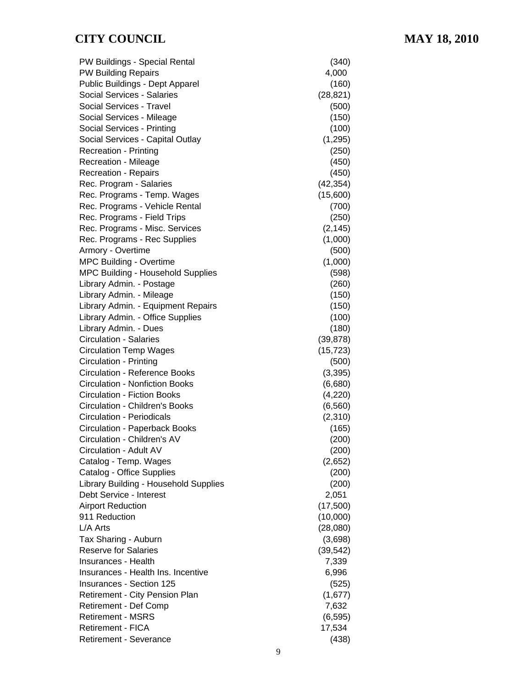| PW Buildings - Special Rental                       | (340)                |
|-----------------------------------------------------|----------------------|
| <b>PW Building Repairs</b>                          | 4,000                |
| Public Buildings - Dept Apparel                     | (160)                |
| Social Services - Salaries                          | (28, 821)            |
| Social Services - Travel                            | (500)                |
| Social Services - Mileage                           | (150)                |
| Social Services - Printing                          | (100)                |
| Social Services - Capital Outlay                    | (1, 295)             |
| <b>Recreation - Printing</b>                        | (250)                |
| Recreation - Mileage                                | (450)                |
| <b>Recreation - Repairs</b>                         | (450)                |
| Rec. Program - Salaries                             | (42, 354)            |
| Rec. Programs - Temp. Wages                         | (15,600)             |
| Rec. Programs - Vehicle Rental                      | (700)                |
| Rec. Programs - Field Trips                         | (250)                |
| Rec. Programs - Misc. Services                      | (2, 145)             |
| Rec. Programs - Rec Supplies                        | (1,000)              |
| Armory - Overtime                                   | (500)                |
| <b>MPC Building - Overtime</b>                      | (1,000)              |
| <b>MPC Building - Household Supplies</b>            | (598)                |
| Library Admin. - Postage                            | (260)                |
| Library Admin. - Mileage                            | (150)                |
| Library Admin. - Equipment Repairs                  | (150)                |
| Library Admin. - Office Supplies                    | (100)                |
| Library Admin. - Dues                               | (180)                |
| <b>Circulation - Salaries</b>                       | (39, 878)            |
| <b>Circulation Temp Wages</b>                       | (15, 723)            |
| <b>Circulation - Printing</b>                       | (500)                |
| <b>Circulation - Reference Books</b>                | (3, 395)             |
| <b>Circulation - Nonfiction Books</b>               | (6,680)              |
| <b>Circulation - Fiction Books</b>                  | (4,220)              |
| <b>Circulation - Children's Books</b>               | (6, 560)             |
| <b>Circulation - Periodicals</b>                    | (2,310)              |
| <b>Circulation - Paperback Books</b>                | (165)                |
| Circulation - Children's AV                         | (200)                |
| Circulation - Adult AV                              | (200)                |
| Catalog - Temp. Wages                               | (2,652)              |
| Catalog - Office Supplies                           | (200)                |
| Library Building - Household Supplies               | (200)                |
| Debt Service - Interest                             | 2,051                |
| <b>Airport Reduction</b>                            | (17,500)             |
| 911 Reduction                                       | (10,000)             |
| L/A Arts                                            | (28,080)             |
|                                                     |                      |
| Tax Sharing - Auburn<br><b>Reserve for Salaries</b> | (3,698)<br>(39, 542) |
| Insurances - Health                                 |                      |
| Insurances - Health Ins. Incentive                  | 7,339                |
|                                                     | 6,996                |
| <b>Insurances - Section 125</b>                     | (525)                |
| <b>Retirement - City Pension Plan</b>               | (1,677)              |
| <b>Retirement - Def Comp</b>                        | 7,632                |
| <b>Retirement - MSRS</b>                            | (6, 595)             |
| Retirement - FICA                                   | 17,534               |
| <b>Retirement - Severance</b>                       | (438)                |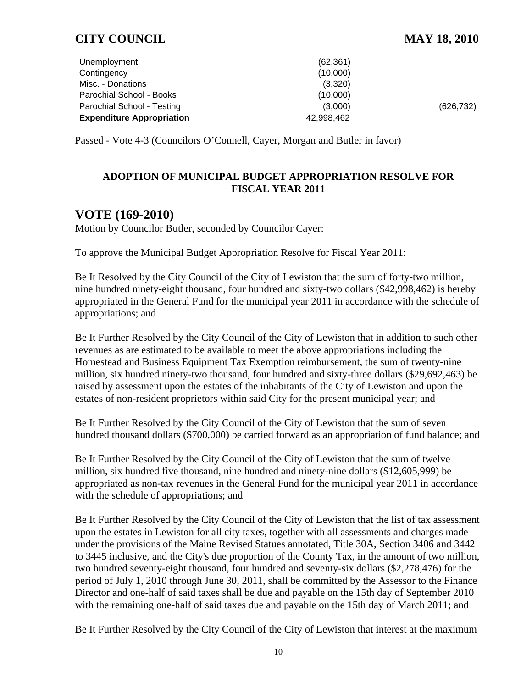| Unemployment                     | (62, 361)  |            |
|----------------------------------|------------|------------|
| Contingency                      | (10,000)   |            |
| Misc. - Donations                | (3,320)    |            |
| Parochial School - Books         | (10,000)   |            |
| Parochial School - Testing       | (3,000)    | (626, 732) |
| <b>Expenditure Appropriation</b> | 42.998.462 |            |

Passed - Vote 4-3 (Councilors O'Connell, Cayer, Morgan and Butler in favor)

#### **ADOPTION OF MUNICIPAL BUDGET APPROPRIATION RESOLVE FOR FISCAL YEAR 2011**

## **VOTE (169-2010)**

Motion by Councilor Butler, seconded by Councilor Cayer:

To approve the Municipal Budget Appropriation Resolve for Fiscal Year 2011:

Be It Resolved by the City Council of the City of Lewiston that the sum of forty-two million, nine hundred ninety-eight thousand, four hundred and sixty-two dollars (\$42,998,462) is hereby appropriated in the General Fund for the municipal year 2011 in accordance with the schedule of appropriations; and

Be It Further Resolved by the City Council of the City of Lewiston that in addition to such other revenues as are estimated to be available to meet the above appropriations including the Homestead and Business Equipment Tax Exemption reimbursement, the sum of twenty-nine million, six hundred ninety-two thousand, four hundred and sixty-three dollars (\$29,692,463) be raised by assessment upon the estates of the inhabitants of the City of Lewiston and upon the estates of non-resident proprietors within said City for the present municipal year; and

Be It Further Resolved by the City Council of the City of Lewiston that the sum of seven hundred thousand dollars (\$700,000) be carried forward as an appropriation of fund balance; and

Be It Further Resolved by the City Council of the City of Lewiston that the sum of twelve million, six hundred five thousand, nine hundred and ninety-nine dollars (\$12,605,999) be appropriated as non-tax revenues in the General Fund for the municipal year 2011 in accordance with the schedule of appropriations; and

Be It Further Resolved by the City Council of the City of Lewiston that the list of tax assessment upon the estates in Lewiston for all city taxes, together with all assessments and charges made under the provisions of the Maine Revised Statues annotated, Title 30A, Section 3406 and 3442 to 3445 inclusive, and the City's due proportion of the County Tax, in the amount of two million, two hundred seventy-eight thousand, four hundred and seventy-six dollars (\$2,278,476) for the period of July 1, 2010 through June 30, 2011, shall be committed by the Assessor to the Finance Director and one-half of said taxes shall be due and payable on the 15th day of September 2010 with the remaining one-half of said taxes due and payable on the 15th day of March 2011; and

Be It Further Resolved by the City Council of the City of Lewiston that interest at the maximum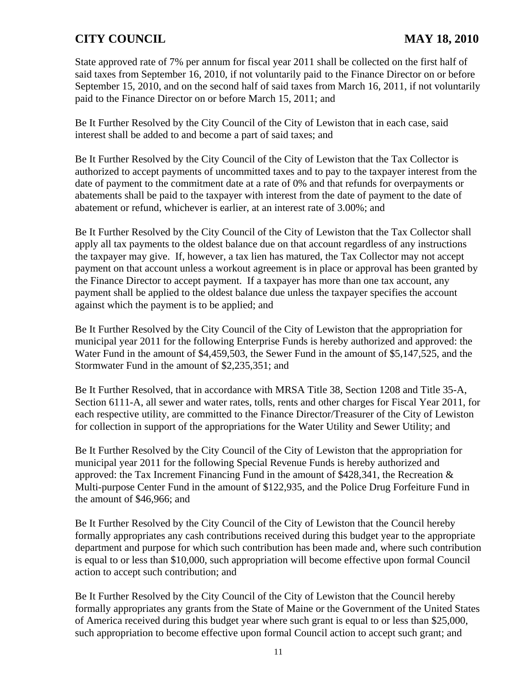State approved rate of 7% per annum for fiscal year 2011 shall be collected on the first half of said taxes from September 16, 2010, if not voluntarily paid to the Finance Director on or before September 15, 2010, and on the second half of said taxes from March 16, 2011, if not voluntarily paid to the Finance Director on or before March 15, 2011; and

Be It Further Resolved by the City Council of the City of Lewiston that in each case, said interest shall be added to and become a part of said taxes; and

Be It Further Resolved by the City Council of the City of Lewiston that the Tax Collector is authorized to accept payments of uncommitted taxes and to pay to the taxpayer interest from the date of payment to the commitment date at a rate of 0% and that refunds for overpayments or abatements shall be paid to the taxpayer with interest from the date of payment to the date of abatement or refund, whichever is earlier, at an interest rate of 3.00%; and

Be It Further Resolved by the City Council of the City of Lewiston that the Tax Collector shall apply all tax payments to the oldest balance due on that account regardless of any instructions the taxpayer may give. If, however, a tax lien has matured, the Tax Collector may not accept payment on that account unless a workout agreement is in place or approval has been granted by the Finance Director to accept payment. If a taxpayer has more than one tax account, any payment shall be applied to the oldest balance due unless the taxpayer specifies the account against which the payment is to be applied; and

Be It Further Resolved by the City Council of the City of Lewiston that the appropriation for municipal year 2011 for the following Enterprise Funds is hereby authorized and approved: the Water Fund in the amount of \$4,459,503, the Sewer Fund in the amount of \$5,147,525, and the Stormwater Fund in the amount of \$2,235,351; and

Be It Further Resolved, that in accordance with MRSA Title 38, Section 1208 and Title 35-A, Section 6111-A, all sewer and water rates, tolls, rents and other charges for Fiscal Year 2011, for each respective utility, are committed to the Finance Director/Treasurer of the City of Lewiston for collection in support of the appropriations for the Water Utility and Sewer Utility; and

Be It Further Resolved by the City Council of the City of Lewiston that the appropriation for municipal year 2011 for the following Special Revenue Funds is hereby authorized and approved: the Tax Increment Financing Fund in the amount of \$428,341, the Recreation & Multi-purpose Center Fund in the amount of \$122,935, and the Police Drug Forfeiture Fund in the amount of \$46,966; and

Be It Further Resolved by the City Council of the City of Lewiston that the Council hereby formally appropriates any cash contributions received during this budget year to the appropriate department and purpose for which such contribution has been made and, where such contribution is equal to or less than \$10,000, such appropriation will become effective upon formal Council action to accept such contribution; and

Be It Further Resolved by the City Council of the City of Lewiston that the Council hereby formally appropriates any grants from the State of Maine or the Government of the United States of America received during this budget year where such grant is equal to or less than \$25,000, such appropriation to become effective upon formal Council action to accept such grant; and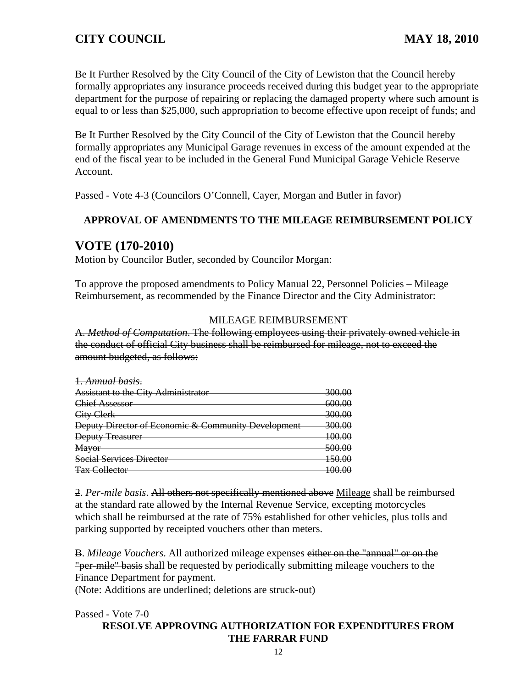Be It Further Resolved by the City Council of the City of Lewiston that the Council hereby formally appropriates any insurance proceeds received during this budget year to the appropriate department for the purpose of repairing or replacing the damaged property where such amount is equal to or less than \$25,000, such appropriation to become effective upon receipt of funds; and

Be It Further Resolved by the City Council of the City of Lewiston that the Council hereby formally appropriates any Municipal Garage revenues in excess of the amount expended at the end of the fiscal year to be included in the General Fund Municipal Garage Vehicle Reserve Account.

Passed - Vote 4-3 (Councilors O'Connell, Cayer, Morgan and Butler in favor)

## **APPROVAL OF AMENDMENTS TO THE MILEAGE REIMBURSEMENT POLICY**

## **VOTE (170-2010)**

Motion by Councilor Butler, seconded by Councilor Morgan:

To approve the proposed amendments to Policy Manual 22, Personnel Policies – Mileage Reimbursement, as recommended by the Finance Director and the City Administrator:

#### MILEAGE REIMBURSEMENT

A. *Method of Computation*. The following employees using their privately owned vehicle in the conduct of official City business shall be reimbursed for mileage, not to exceed the amount budgeted, as follows:

| 1. Annual basis.                                    |                   |
|-----------------------------------------------------|-------------------|
| <b>Assistant to the City Administrator</b>          | <del>300.00</del> |
| <b>Chief Assessor</b>                               | 600.00            |
| City Clerk                                          | 300.00            |
| Deputy Director of Economic & Community Development | <u>300.00</u>     |
| <b>Deputy Treasurer</b>                             | <del>100.00</del> |
| <b>Mayor</b>                                        | <del>500.00</del> |
| <b>Social Services Director</b>                     | 150.00            |
| <b>Tax Collector</b>                                | 1ሰሰ ሰር            |

2. *Per-mile basis*. All others not specifically mentioned above Mileage shall be reimbursed at the standard rate allowed by the Internal Revenue Service, excepting motorcycles which shall be reimbursed at the rate of 75% established for other vehicles, plus tolls and parking supported by receipted vouchers other than meters.

B. *Mileage Vouchers*. All authorized mileage expenses either on the "annual" or on the "per-mile" basis shall be requested by periodically submitting mileage vouchers to the Finance Department for payment.

(Note: Additions are underlined; deletions are struck-out)

Passed - Vote 7-0

#### **RESOLVE APPROVING AUTHORIZATION FOR EXPENDITURES FROM THE FARRAR FUND**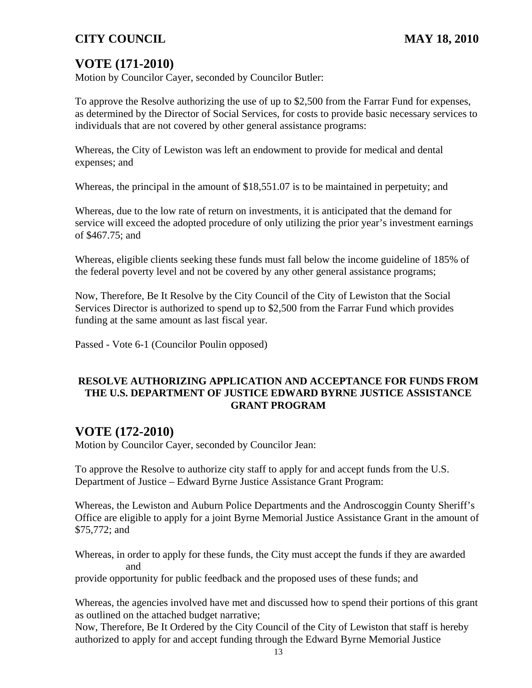# **VOTE (171-2010)**

Motion by Councilor Cayer, seconded by Councilor Butler:

To approve the Resolve authorizing the use of up to \$2,500 from the Farrar Fund for expenses, as determined by the Director of Social Services, for costs to provide basic necessary services to individuals that are not covered by other general assistance programs:

Whereas, the City of Lewiston was left an endowment to provide for medical and dental expenses; and

Whereas, the principal in the amount of \$18,551.07 is to be maintained in perpetuity; and

Whereas, due to the low rate of return on investments, it is anticipated that the demand for service will exceed the adopted procedure of only utilizing the prior year's investment earnings of \$467.75; and

Whereas, eligible clients seeking these funds must fall below the income guideline of 185% of the federal poverty level and not be covered by any other general assistance programs;

Now, Therefore, Be It Resolve by the City Council of the City of Lewiston that the Social Services Director is authorized to spend up to \$2,500 from the Farrar Fund which provides funding at the same amount as last fiscal year.

Passed - Vote 6-1 (Councilor Poulin opposed)

#### **RESOLVE AUTHORIZING APPLICATION AND ACCEPTANCE FOR FUNDS FROM THE U.S. DEPARTMENT OF JUSTICE EDWARD BYRNE JUSTICE ASSISTANCE GRANT PROGRAM**

# **VOTE (172-2010)**

Motion by Councilor Cayer, seconded by Councilor Jean:

To approve the Resolve to authorize city staff to apply for and accept funds from the U.S. Department of Justice – Edward Byrne Justice Assistance Grant Program:

Whereas, the Lewiston and Auburn Police Departments and the Androscoggin County Sheriff's Office are eligible to apply for a joint Byrne Memorial Justice Assistance Grant in the amount of \$75,772; and

Whereas, in order to apply for these funds, the City must accept the funds if they are awarded and

provide opportunity for public feedback and the proposed uses of these funds; and

Whereas, the agencies involved have met and discussed how to spend their portions of this grant as outlined on the attached budget narrative;

Now, Therefore, Be It Ordered by the City Council of the City of Lewiston that staff is hereby authorized to apply for and accept funding through the Edward Byrne Memorial Justice